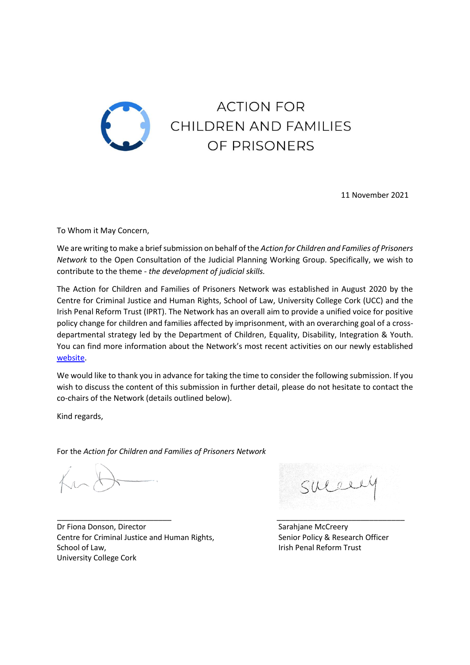

11 November 2021

To Whom it May Concern,

We are writing to make a brief submission on behalf of the *Action for Children and Families of Prisoners Network* to the Open Consultation of the Judicial Planning Working Group. Specifically, we wish to contribute to the theme - *the development of judicial skills.*

The Action for Children and Families of Prisoners Network was established in August 2020 by the Centre for Criminal Justice and Human Rights, School of Law, University College Cork (UCC) and the Irish Penal Reform Trust (IPRT). The Network has an overall aim to provide a unified voice for positive policy change for children and families affected by imprisonment, with an overarching goal of a crossdepartmental strategy led by the Department of Children, Equality, Disability, Integration & Youth. You can find more information about the Network's most recent activities on our newly established [website.](https://www.actionforfamilies.ie/)

We would like to thank you in advance for taking the time to consider the following submission. If you wish to discuss the content of this submission in further detail, please do not hesitate to contact the co-chairs of the Network (details outlined below).

Kind regards,

For the *Action for Children and Families of Prisoners Network*

\_\_\_\_\_\_\_\_\_\_\_\_\_\_\_\_\_\_\_\_\_\_\_\_\_\_ \_\_\_\_\_\_\_\_\_\_\_\_\_\_\_\_\_\_\_\_\_\_\_\_\_\_\_\_\_ Dr Fiona Donson, Director Sarahjane McCreery Centre for Criminal Justice and Human Rights, Senior Policy & Research Officer School of Law, **Internal Reform Trust School of Law, Irish Penal Reform Trust** University College Cork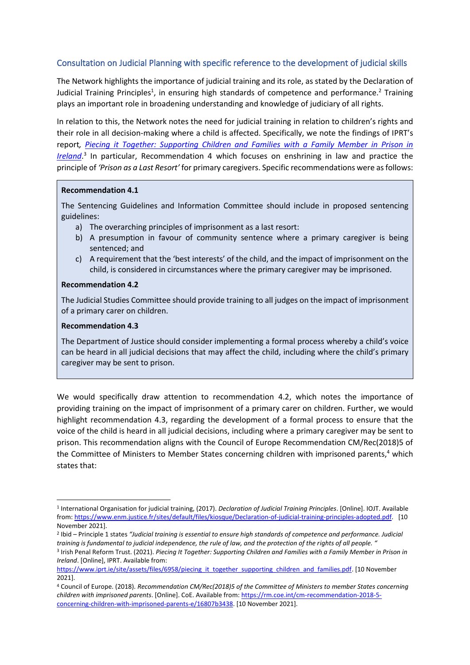# Consultation on Judicial Planning with specific reference to the development of judicial skills

The Network highlights the importance of judicial training and its role, as stated by the Declaration of Judicial Training Principles<sup>1</sup>, in ensuring high standards of competence and performance.<sup>2</sup> Training plays an important role in broadening understanding and knowledge of judiciary of all rights.

In relation to this, the Network notes the need for judicial training in relation to children's rights and their role in all decision-making where a child is affected. Specifically, we note the findings of IPRT's report*, [Piecing it Together: Supporting Children and Families with a Family Member in Prison in](https://www.iprt.ie/site/assets/files/6958/piecing_it_together_supporting_children_and_families.pdf)  [Ireland](https://www.iprt.ie/site/assets/files/6958/piecing_it_together_supporting_children_and_families.pdf)*. 3 In particular, Recommendation 4 which focuses on enshrining in law and practice the principle of *'Prison as a Last Resort'* for primary caregivers. Specific recommendations were as follows:

### **Recommendation 4.1**

The Sentencing Guidelines and Information Committee should include in proposed sentencing guidelines:

- a) The overarching principles of imprisonment as a last resort:
- b) A presumption in favour of community sentence where a primary caregiver is being sentenced; and
- c) A requirement that the 'best interests' of the child, and the impact of imprisonment on the child, is considered in circumstances where the primary caregiver may be imprisoned.

# **Recommendation 4.2**

The Judicial Studies Committee should provide training to all judges on the impact of imprisonment of a primary carer on children.

# **Recommendation 4.3**

The Department of Justice should consider implementing a formal process whereby a child's voice can be heard in all judicial decisions that may affect the child, including where the child's primary caregiver may be sent to prison.

We would specifically draw attention to recommendation 4.2, which notes the importance of providing training on the impact of imprisonment of a primary carer on children. Further, we would highlight recommendation 4.3, regarding the development of a formal process to ensure that the voice of the child is heard in all judicial decisions, including where a primary caregiver may be sent to prison. This recommendation aligns with the Council of Europe Recommendation CM/Rec(2018)5 of the Committee of Ministers to Member States concerning children with imprisoned parents, <sup>4</sup> which states that:

<sup>1</sup> International Organisation for judicial training, (2017). *Declaration of Judicial Training Principles*. [Online]. IOJT. Available from[: https://www.enm.justice.fr/sites/default/files/kiosque/Declaration-of-judicial-training-principles-adopted.pdf.](https://www.enm.justice.fr/sites/default/files/kiosque/Declaration-of-judicial-training-principles-adopted.pdf) [10 November 2021].

<sup>2</sup> Ibid – Principle 1 states *"Judicial training is essential to ensure high standards of competence and performance. Judicial training is fundamental to judicial independence, the rule of law, and the protection of the rights of all people. "* 3 Irish Penal Reform Trust. (2021). *Piecing It Together: Supporting Children and Families with a Family Member in Prison in Ireland*. [Online], IPRT. Available from:

[https://www.iprt.ie/site/assets/files/6958/piecing\\_it\\_together\\_supporting\\_children\\_and\\_families.pdf.](https://www.iprt.ie/site/assets/files/6958/piecing_it_together_supporting_children_and_families.pdf) [10 November 2021].

<sup>4</sup> Council of Europe. (2018). *Recommendation CM/Rec(2018)5 of the Committee of Ministers to member States concerning children with imprisoned parents*. [Online]. CoE. Available from: [https://rm.coe.int/cm-recommendation-2018-5](https://rm.coe.int/cm-recommendation-2018-5-concerning-children-with-imprisoned-parents-e/16807b3438) [concerning-children-with-imprisoned-parents-e/16807b3438.](https://rm.coe.int/cm-recommendation-2018-5-concerning-children-with-imprisoned-parents-e/16807b3438) [10 November 2021].